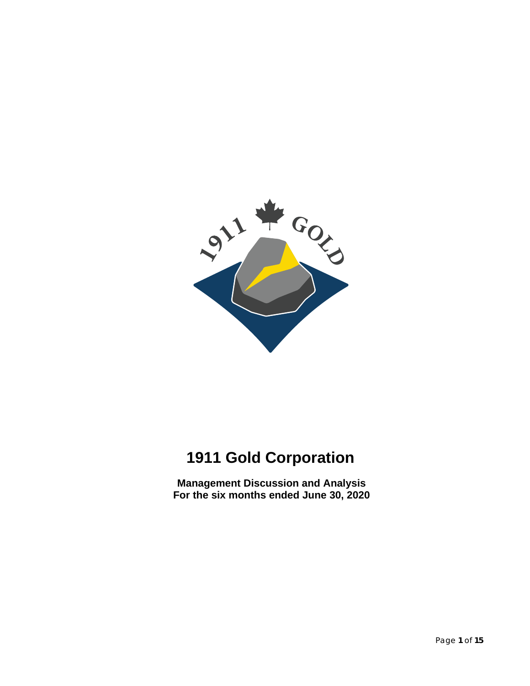

# **1911 Gold Corporation**

**Management Discussion and Analysis For the six months ended June 30, 2020**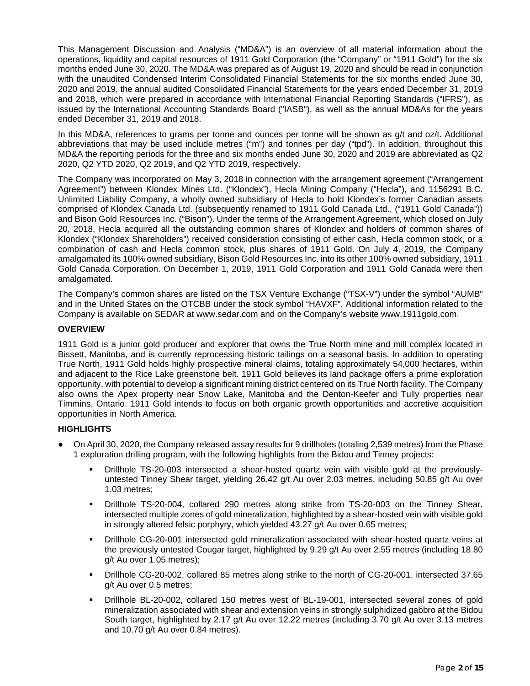This Management Discussion and Analysis ("MD&A") is an overview of all material information about the operations, liquidity and capital resources of 1911 Gold Corporation (the "Company" or "1911 Gold") for the six months ended June 30, 2020. The MD&A was prepared as of August 19, 2020 and should be read in conjunction with the unaudited Condensed Interim Consolidated Financial Statements for the six months ended June 30, 2020 and 2019, the annual audited Consolidated Financial Statements for the years ended December 31, 2019 and 2018, which were prepared in accordance with International Financial Reporting Standards ("IFRS"), as issued by the International Accounting Standards Board ("IASB"), as well as the annual MD&As for the years ended December 31, 2019 and 2018.

In this MD&A, references to grams per tonne and ounces per tonne will be shown as g/t and oz/t. Additional abbreviations that may be used include metres ("m") and tonnes per day ("tpd"). In addition, throughout this MD&A the reporting periods for the three and six months ended June 30, 2020 and 2019 are abbreviated as Q2 2020, Q2 YTD 2020, Q2 2019, and Q2 YTD 2019, respectively.

The Company was incorporated on May 3, 2018 in connection with the arrangement agreement ("Arrangement Agreement") between Klondex Mines Ltd. ("Klondex"), Hecla Mining Company ("Hecla"), and 1156291 B.C. Unlimited Liability Company, a wholly owned subsidiary of Hecla to hold Klondex's former Canadian assets comprised of Klondex Canada Ltd. (subsequently renamed to 1911 Gold Canada Ltd., ("1911 Gold Canada")) and Bison Gold Resources Inc. ("Bison"). Under the terms of the Arrangement Agreement, which closed on July 20, 2018, Hecla acquired all the outstanding common shares of Klondex and holders of common shares of Klondex ("Klondex Shareholders") received consideration consisting of either cash, Hecla common stock, or a combination of cash and Hecla common stock, plus shares of 1911 Gold. On July 4, 2019, the Company amalgamated its 100% owned subsidiary, Bison Gold Resources Inc. into its other 100% owned subsidiary, 1911 Gold Canada Corporation. On December 1, 2019, 1911 Gold Corporation and 1911 Gold Canada were then amalgamated.

The Company's common shares are listed on the TSX Venture Exchange ("TSX-V") under the symbol "AUMB" and in the United States on the OTCBB under the stock symbol "HAVXF". Additional information related to the Company is available on SEDAR at www.sedar.com and on the Company's website [www.1911gold.com.](http://www.1911gold.com/)

# **OVERVIEW**

1911 Gold is a junior gold producer and explorer that owns the True North mine and mill complex located in Bissett, Manitoba, and is currently reprocessing historic tailings on a seasonal basis. In addition to operating True North, 1911 Gold holds highly prospective mineral claims, totaling approximately 54,000 hectares, within and adjacent to the Rice Lake greenstone belt. 1911 Gold believes its land package offers a prime exploration opportunity, with potential to develop a significant mining district centered on its True North facility. The Company also owns the Apex property near Snow Lake, Manitoba and the Denton-Keefer and Tully properties near Timmins, Ontario. 1911 Gold intends to focus on both organic growth opportunities and accretive acquisition opportunities in North America.

# **HIGHLIGHTS**

- On April 30, 2020, the Company released assay results for 9 drillholes (totaling 2,539 metres) from the Phase 1 exploration drilling program, with the following highlights from the Bidou and Tinney projects:
	- Drillhole TS-20-003 intersected a shear-hosted quartz vein with visible gold at the previouslyuntested Tinney Shear target, yielding 26.42 g/t Au over 2.03 metres, including 50.85 g/t Au over 1.03 metres;
	- Drillhole TS-20-004, collared 290 metres along strike from TS-20-003 on the Tinney Shear, intersected multiple zones of gold mineralization, highlighted by a shear-hosted vein with visible gold in strongly altered felsic porphyry, which yielded 43.27 g/t Au over 0.65 metres;
	- Drillhole CG-20-001 intersected gold mineralization associated with shear-hosted quartz veins at the previously untested Cougar target, highlighted by 9.29 g/t Au over 2.55 metres (including 18.80 g/t Au over 1.05 metres);
	- Drillhole CG-20-002, collared 85 metres along strike to the north of CG-20-001, intersected 37.65 g/t Au over 0.5 metres;
	- Drillhole BL-20-002, collared 150 metres west of BL-19-001, intersected several zones of gold mineralization associated with shear and extension veins in strongly sulphidized gabbro at the Bidou South target, highlighted by 2.17 g/t Au over 12.22 metres (including 3.70 g/t Au over 3.13 metres and 10.70 g/t Au over 0.84 metres).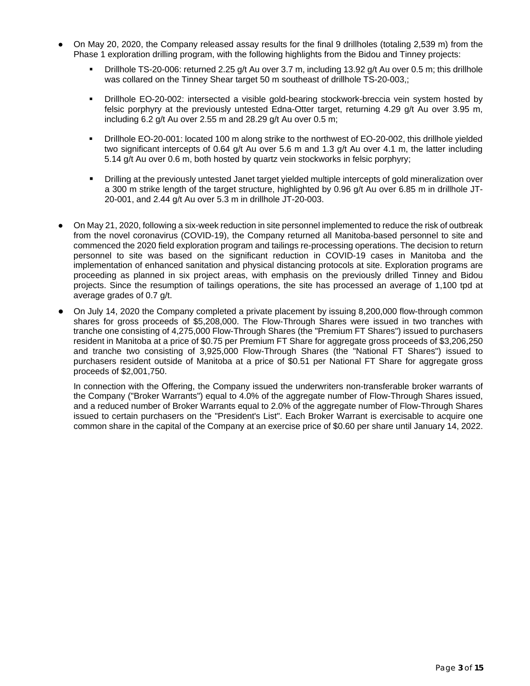- On May 20, 2020, the Company released assay results for the final 9 drillholes (totaling 2,539 m) from the Phase 1 exploration drilling program, with the following highlights from the Bidou and Tinney projects:
	- Drillhole TS-20-006: returned 2.25 g/t Au over 3.7 m, including 13.92 g/t Au over 0.5 m; this drillhole was collared on the Tinney Shear target 50 m southeast of drillhole TS-20-003,;
	- Drillhole EO-20-002: intersected a visible gold-bearing stockwork-breccia vein system hosted by felsic porphyry at the previously untested Edna-Otter target, returning 4.29 g/t Au over 3.95 m, including 6.2 g/t Au over 2.55 m and 28.29 g/t Au over 0.5 m;
	- Drillhole EO-20-001: located 100 m along strike to the northwest of EO-20-002, this drillhole yielded two significant intercepts of 0.64 g/t Au over 5.6 m and 1.3 g/t Au over 4.1 m, the latter including 5.14 g/t Au over 0.6 m, both hosted by quartz vein stockworks in felsic porphyry;
	- **•** Drilling at the previously untested Janet target yielded multiple intercepts of gold mineralization over a 300 m strike length of the target structure, highlighted by 0.96 g/t Au over 6.85 m in drillhole JT-20-001, and 2.44 g/t Au over 5.3 m in drillhole JT-20-003.
- On May 21, 2020, following a six-week reduction in site personnel implemented to reduce the risk of outbreak from the novel coronavirus (COVID-19), the Company returned all Manitoba-based personnel to site and commenced the 2020 field exploration program and tailings re-processing operations. The decision to return personnel to site was based on the significant reduction in COVID-19 cases in Manitoba and the implementation of enhanced sanitation and physical distancing protocols at site. Exploration programs are proceeding as planned in six project areas, with emphasis on the previously drilled Tinney and Bidou projects. Since the resumption of tailings operations, the site has processed an average of 1,100 tpd at average grades of 0.7 g/t.
- On July 14, 2020 the Company completed a private placement by issuing 8,200,000 flow-through common shares for gross proceeds of \$5,208,000. The Flow-Through Shares were issued in two tranches with tranche one consisting of 4,275,000 Flow-Through Shares (the "Premium FT Shares") issued to purchasers resident in Manitoba at a price of \$0.75 per Premium FT Share for aggregate gross proceeds of \$3,206,250 and tranche two consisting of 3,925,000 Flow-Through Shares (the "National FT Shares") issued to purchasers resident outside of Manitoba at a price of \$0.51 per National FT Share for aggregate gross proceeds of \$2,001,750.

In connection with the Offering, the Company issued the underwriters non-transferable broker warrants of the Company ("Broker Warrants") equal to 4.0% of the aggregate number of Flow-Through Shares issued, and a reduced number of Broker Warrants equal to 2.0% of the aggregate number of Flow-Through Shares issued to certain purchasers on the "President's List". Each Broker Warrant is exercisable to acquire one common share in the capital of the Company at an exercise price of \$0.60 per share until January 14, 2022.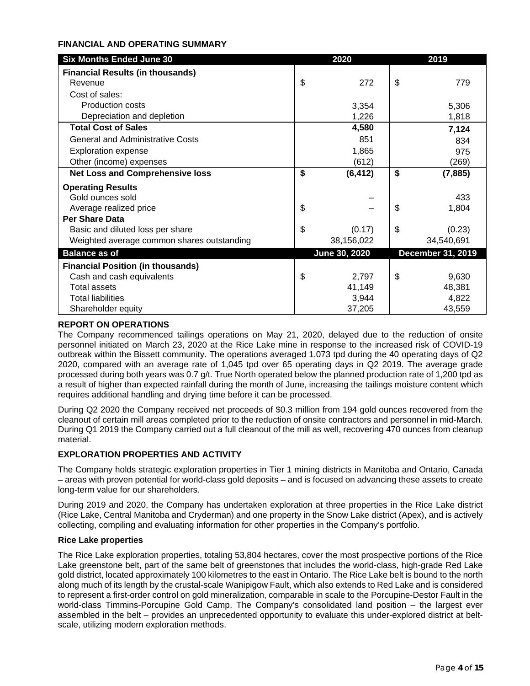# **FINANCIAL AND OPERATING SUMMARY**

| <b>Six Months Ended June 30</b>            | 2020           | 2019                     |
|--------------------------------------------|----------------|--------------------------|
| <b>Financial Results (in thousands)</b>    |                |                          |
| Revenue                                    | \$<br>272      | \$<br>779                |
| Cost of sales:                             |                |                          |
| <b>Production costs</b>                    | 3,354          | 5,306                    |
| Depreciation and depletion                 | 1,226          | 1,818                    |
| <b>Total Cost of Sales</b>                 | 4,580          | 7,124                    |
| <b>General and Administrative Costs</b>    | 851            | 834                      |
| <b>Exploration expense</b>                 | 1,865          | 975                      |
| Other (income) expenses                    | (612)          | (269)                    |
| <b>Net Loss and Comprehensive loss</b>     | \$<br>(6, 412) | \$<br>(7, 885)           |
| <b>Operating Results</b>                   |                |                          |
| Gold ounces sold                           |                | 433                      |
| Average realized price                     | \$             | \$<br>1,804              |
| <b>Per Share Data</b>                      |                |                          |
| Basic and diluted loss per share           | \$<br>(0.17)   | \$<br>(0.23)             |
| Weighted average common shares outstanding | 38,156,022     | 34,540,691               |
| <b>Balance as of</b>                       | June 30, 2020  | <b>December 31, 2019</b> |
| <b>Financial Position (in thousands)</b>   |                |                          |
| Cash and cash equivalents                  | \$<br>2,797    | \$<br>9,630              |
| <b>Total assets</b>                        | 41,149         | 48,381                   |
| <b>Total liabilities</b>                   | 3,944          | 4,822                    |
| Shareholder equity                         | 37,205         | 43,559                   |

# **REPORT ON OPERATIONS**

The Company recommenced tailings operations on May 21, 2020, delayed due to the reduction of onsite personnel initiated on March 23, 2020 at the Rice Lake mine in response to the increased risk of COVID-19 outbreak within the Bissett community. The operations averaged 1,073 tpd during the 40 operating days of Q2 2020, compared with an average rate of 1,045 tpd over 65 operating days in Q2 2019. The average grade processed during both years was 0.7 g/t. True North operated below the planned production rate of 1,200 tpd as a result of higher than expected rainfall during the month of June, increasing the tailings moisture content which requires additional handling and drying time before it can be processed.

During Q2 2020 the Company received net proceeds of \$0.3 million from 194 gold ounces recovered from the cleanout of certain mill areas completed prior to the reduction of onsite contractors and personnel in mid-March. During Q1 2019 the Company carried out a full cleanout of the mill as well, recovering 470 ounces from cleanup material.

# **EXPLORATION PROPERTIES AND ACTIVITY**

The Company holds strategic exploration properties in Tier 1 mining districts in Manitoba and Ontario, Canada – areas with proven potential for world-class gold deposits – and is focused on advancing these assets to create long-term value for our shareholders.

During 2019 and 2020, the Company has undertaken exploration at three properties in the Rice Lake district (Rice Lake, Central Manitoba and Cryderman) and one property in the Snow Lake district (Apex), and is actively collecting, compiling and evaluating information for other properties in the Company's portfolio.

#### **Rice Lake properties**

The Rice Lake exploration properties, totaling 53,804 hectares, cover the most prospective portions of the Rice Lake greenstone belt, part of the same belt of greenstones that includes the world-class, high-grade Red Lake gold district, located approximately 100 kilometres to the east in Ontario. The Rice Lake belt is bound to the north along much of its length by the crustal-scale Wanipigow Fault, which also extends to Red Lake and is considered to represent a first-order control on gold mineralization, comparable in scale to the Porcupine-Destor Fault in the world-class Timmins-Porcupine Gold Camp. The Company's consolidated land position – the largest ever assembled in the belt – provides an unprecedented opportunity to evaluate this under-explored district at beltscale, utilizing modern exploration methods.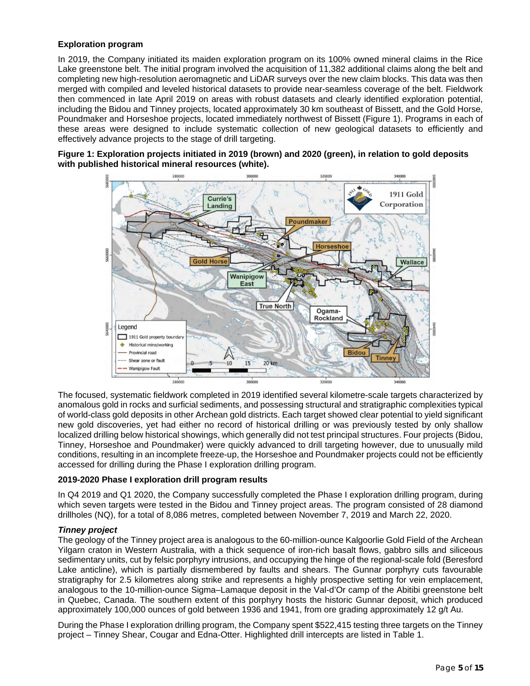# **Exploration program**

In 2019, the Company initiated its maiden exploration program on its 100% owned mineral claims in the Rice Lake greenstone belt. The initial program involved the acquisition of 11,382 additional claims along the belt and completing new high-resolution aeromagnetic and LiDAR surveys over the new claim blocks. This data was then merged with compiled and leveled historical datasets to provide near-seamless coverage of the belt. Fieldwork then commenced in late April 2019 on areas with robust datasets and clearly identified exploration potential, including the Bidou and Tinney projects, located approximately 30 km southeast of Bissett, and the Gold Horse, Poundmaker and Horseshoe projects, located immediately northwest of Bissett (Figure 1). Programs in each of these areas were designed to include systematic collection of new geological datasets to efficiently and effectively advance projects to the stage of drill targeting.

**Figure 1: Exploration projects initiated in 2019 (brown) and 2020 (green), in relation to gold deposits with published historical mineral resources (white).** 



The focused, systematic fieldwork completed in 2019 identified several kilometre-scale targets characterized by anomalous gold in rocks and surficial sediments, and possessing structural and stratigraphic complexities typical of world-class gold deposits in other Archean gold districts. Each target showed clear potential to yield significant new gold discoveries, yet had either no record of historical drilling or was previously tested by only shallow localized drilling below historical showings, which generally did not test principal structures. Four projects (Bidou, Tinney, Horseshoe and Poundmaker) were quickly advanced to drill targeting however, due to unusually mild conditions, resulting in an incomplete freeze-up, the Horseshoe and Poundmaker projects could not be efficiently accessed for drilling during the Phase I exploration drilling program.

#### **2019-2020 Phase I exploration drill program results**

In Q4 2019 and Q1 2020, the Company successfully completed the Phase I exploration drilling program, during which seven targets were tested in the Bidou and Tinney project areas. The program consisted of 28 diamond drillholes (NQ), for a total of 8,086 metres, completed between November 7, 2019 and March 22, 2020.

#### *Tinney project*

The geology of the Tinney project area is analogous to the 60-million-ounce Kalgoorlie Gold Field of the Archean Yilgarn craton in Western Australia, with a thick sequence of iron-rich basalt flows, gabbro sills and siliceous sedimentary units, cut by felsic porphyry intrusions, and occupying the hinge of the regional-scale fold (Beresford Lake anticline), which is partially dismembered by faults and shears. The Gunnar porphyry cuts favourable stratigraphy for 2.5 kilometres along strike and represents a highly prospective setting for vein emplacement, analogous to the 10-million-ounce Sigma–Lamaque deposit in the Val-d'Or camp of the Abitibi greenstone belt in Quebec, Canada. The southern extent of this porphyry hosts the historic Gunnar deposit, which produced approximately 100,000 ounces of gold between 1936 and 1941, from ore grading approximately 12 g/t Au.

During the Phase I exploration drilling program, the Company spent \$522,415 testing three targets on the Tinney project – Tinney Shear, Cougar and Edna-Otter. Highlighted drill intercepts are listed in Table 1.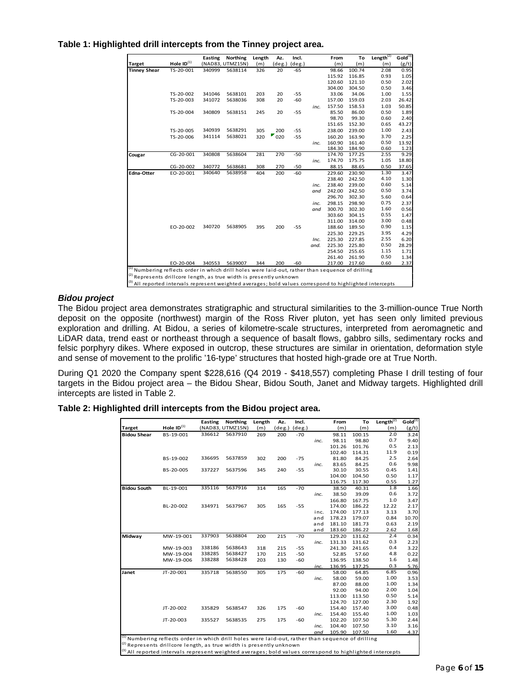**Table 1: Highlighted drill intercepts from the Tinney project area.**

|                                                                                                              |                 | <b>Easting</b> | <b>Northing</b>  | Length | Az.      | Incl.     |      | From   | To     | Length $^{(2)}$ | Gold <sup>(3)</sup> |
|--------------------------------------------------------------------------------------------------------------|-----------------|----------------|------------------|--------|----------|-----------|------|--------|--------|-----------------|---------------------|
| <b>Target</b>                                                                                                | Hole $ID^{(1)}$ |                | (NAD83, UTMZ15N) | (m)    | deg.)    | $(\deg.)$ |      | (m)    | (m)    | (m)             | (g/t)               |
| <b>Tinney Shear</b>                                                                                          | TS-20-001       | 340999         | 5638114          | 326    | 20       | $-65$     |      | 98.66  | 100.74 | 2.08            | 0.95                |
|                                                                                                              |                 |                |                  |        |          |           |      | 115.92 | 116.85 | 0.93            | 1.05                |
|                                                                                                              |                 |                |                  |        |          |           |      | 120.60 | 121.10 | 0.50            | 2.02                |
|                                                                                                              |                 |                |                  |        |          |           |      | 304.00 | 304.50 | 0.50            | 3.46                |
|                                                                                                              | TS-20-002       | 341046         | 5638101          | 203    | 20       | $-55$     |      | 33.06  | 34.06  | 1.00            | 1.55                |
|                                                                                                              | TS-20-003       | 341072         | 5638036          | 308    | 20       | $-60$     |      | 157.00 | 159.03 | 2.03            | 26.42               |
|                                                                                                              |                 |                |                  |        |          |           | inc. | 157.50 | 158.53 | 1.03            | 50.85               |
|                                                                                                              | TS-20-004       | 340809         | 5638151          | 245    | 20       | $-55$     |      | 85.50  | 86.00  | 0.50            | 1.89                |
|                                                                                                              |                 |                |                  |        |          |           |      | 98.70  | 99.30  | 0.60            | 2.40                |
|                                                                                                              |                 |                |                  |        |          |           |      | 151.65 | 152.30 | 0.65            | 43.27               |
|                                                                                                              | TS-20-005       | 340939         | 5638291          | 305    | 200      | $-55$     |      | 238.00 | 239.00 | 1.00            | 2.43                |
|                                                                                                              | TS-20-006       | 341114         | 5638021          | 320    | U<br>020 | $-55$     |      | 160.20 | 163.90 | 3.70            | 2.25                |
|                                                                                                              |                 |                |                  |        |          |           | inc. | 160.90 | 161.40 | 0.50            | 13.92               |
|                                                                                                              |                 |                |                  |        |          |           |      | 184.30 | 184.90 | 0.60            | 1.23                |
| Cougar                                                                                                       | CG-20-001       | 340808         | 5638604          | 281    | 270      | $-50$     |      | 174.70 | 177.25 | 2.55            | 9.29                |
|                                                                                                              |                 |                |                  |        |          |           | inc. | 174.70 | 175.75 | 1.05            | 18.80               |
|                                                                                                              | CG-20-002       | 340772         | 5638681          | 308    | 270      | $-50$     |      | 88.15  | 88.65  | 0.50            | 37.65               |
| Edna-Otter                                                                                                   | EO-20-001       | 340640         | 5638958          | 404    | 200      | $-60$     |      | 229.60 | 230.90 | 1.30            | 3.47                |
|                                                                                                              |                 |                |                  |        |          |           |      | 238.40 | 242.50 | 4.10            | 1.30                |
|                                                                                                              |                 |                |                  |        |          |           | inc. | 238.40 | 239.00 | 0.60            | 5.14                |
|                                                                                                              |                 |                |                  |        |          |           | and  | 242.00 | 242.50 | 0.50            | 3.74                |
|                                                                                                              |                 |                |                  |        |          |           |      | 296.70 | 302.30 | 5.60            | 0.64                |
|                                                                                                              |                 |                |                  |        |          |           | inc. | 298.15 | 298.90 | 0.75            | 2.37                |
|                                                                                                              |                 |                |                  |        |          |           | and  | 300.70 | 302.30 | 1.60            | 0.56                |
|                                                                                                              |                 |                |                  |        |          |           |      | 303.60 | 304.15 | 0.55            | 1.47                |
|                                                                                                              |                 |                |                  |        |          |           |      | 311.00 | 314.00 | 3.00            | 0.48                |
|                                                                                                              | EO-20-002       | 340720         | 5638905          | 395    | 200      | $-55$     |      | 188.60 | 189.50 | 0.90            | 1.15                |
|                                                                                                              |                 |                |                  |        |          |           |      | 225.30 | 229.25 | 3.95            | 4.29                |
|                                                                                                              |                 |                |                  |        |          |           | Inc. | 225.30 | 227.85 | 2.55            | 6.20                |
|                                                                                                              |                 |                |                  |        |          |           | and. | 225.30 | 225.80 | 0.50            | 28.29               |
|                                                                                                              |                 |                |                  |        |          |           |      | 254.50 | 255.65 | 1.15            | 1.71                |
|                                                                                                              |                 |                |                  |        |          |           |      | 261.40 | 261.90 | 0.50            | 1.34                |
|                                                                                                              | EO-20-004       | 340553         | 5639007          | 344    | 200      | $-60$     |      | 217.00 | 217.60 | 0.60            | 2.37                |
| <sup>(1)</sup> Numbering reflects order in which drill holes were laid-out, rather than sequence of drilling |                 |                |                  |        |          |           |      |        |        |                 |                     |
| <sup>(2)</sup> Represents drillcore length, as true width is presently unknown                               |                 |                |                  |        |          |           |      |        |        |                 |                     |
| (3) All reported intervals represent weighted averages; bold values correspond to highlighted intercepts     |                 |                |                  |        |          |           |      |        |        |                 |                     |

# *Bidou project*

The Bidou project area demonstrates stratigraphic and structural similarities to the 3-million-ounce True North deposit on the opposite (northwest) margin of the Ross River pluton, yet has seen only limited previous exploration and drilling. At Bidou, a series of kilometre-scale structures, interpreted from aeromagnetic and LiDAR data, trend east or northeast through a sequence of basalt flows, gabbro sills, sedimentary rocks and felsic porphyry dikes. Where exposed in outcrop, these structures are similar in orientation, deformation style and sense of movement to the prolific '16-type' structures that hosted high-grade ore at True North.

During Q1 2020 the Company spent \$228,616 (Q4 2019 - \$418,557) completing Phase I drill testing of four targets in the Bidou project area – the Bidou Shear, Bidou South, Janet and Midway targets. Highlighted drill intercepts are listed in Table 2.

#### **Table 2: Highlighted drill intercepts from the Bidou project area.**

|                    |                                                                                                              | <b>Easting</b> | Northing         | Length | Az.       | Incl.     |      | From   | To     | Length $^{(2)}$ | Gold <sup>(3)</sup> |
|--------------------|--------------------------------------------------------------------------------------------------------------|----------------|------------------|--------|-----------|-----------|------|--------|--------|-----------------|---------------------|
| <b>Target</b>      | Hole $ID^{(1)}$                                                                                              |                | (NAD83, UTMZ15N) | (m)    | $(\deg.)$ | $(\deg.)$ |      | (m)    | (m)    | (m)             | (g/t)               |
| <b>Bidou Shear</b> | BS-19-001                                                                                                    | 336612         | 5637910          | 269    | 200       | $-70$     |      | 98.11  | 100.15 | 2.0             | 3.24                |
|                    |                                                                                                              |                |                  |        |           |           | inc. | 98.11  | 98.80  | 0.7             | 9.40                |
|                    |                                                                                                              |                |                  |        |           |           |      | 101.26 | 101.76 | 0.5             | 2.13                |
|                    |                                                                                                              |                |                  |        |           |           |      | 102.40 | 114.31 | 11.9            | 0.19                |
|                    | BS-19-002                                                                                                    | 336695         | 5637859          | 302    | 200       | $-75$     |      | 81.80  | 84.25  | 2.5             | 2.64                |
|                    |                                                                                                              |                |                  |        |           |           | inc. | 83.65  | 84.25  | 0.6             | 9.98                |
|                    | BS-20-005                                                                                                    | 337227         | 5637596          | 345    | 240       | $-55$     |      | 30.10  | 30.55  | 0.45            | 1.41                |
|                    |                                                                                                              |                |                  |        |           |           |      | 104.00 | 104.50 | 0.50            | 1.17                |
|                    |                                                                                                              |                |                  |        |           |           |      | 116.75 | 117.30 | 0.55            | 1.27                |
| <b>Bidou South</b> | BL-19-001                                                                                                    | 335116         | 5637916          | 314    | 165       | $-70$     |      | 38.50  | 40.31  | 1.8             | 1.66                |
|                    |                                                                                                              |                |                  |        |           |           | inc. | 38.50  | 39.09  | 0.6             | 3.72                |
|                    |                                                                                                              |                |                  |        |           |           |      | 166.80 | 167.75 | 1.0             | 3.47                |
|                    | BL-20-002                                                                                                    | 334971         | 5637967          | 305    | 165       | $-55$     |      | 174.00 | 186.22 | 12.22           | 2.17                |
|                    |                                                                                                              |                |                  |        |           |           | inc. | 174.00 | 177.13 | 3.13            | 3.70                |
|                    |                                                                                                              |                |                  |        |           |           | and  | 178.23 | 179.07 | 0.84            | 10.70               |
|                    |                                                                                                              |                |                  |        |           |           | and  | 181.10 | 181.73 | 0.63            | 2.19                |
|                    |                                                                                                              |                |                  |        |           |           | and  | 183.60 | 186.22 | 2.62            | 1.68                |
| Midway             | MW-19-001                                                                                                    | 337903         | 5638804          | 200    | 215       | $-70$     |      | 129.20 | 131.62 | 2.4             | 0.34                |
|                    |                                                                                                              |                |                  |        |           |           | inc. | 131.33 | 131.62 | 0.3             | 2.23                |
|                    | MW-19-003                                                                                                    | 338186         | 5638643          | 318    | 215       | $-55$     |      | 241.30 | 241.65 | 0.4             | 3.22                |
|                    | MW-19-004                                                                                                    | 338285         | 5638427          | 170    | 215       | $-50$     |      | 52.85  | 57.60  | 4.8             | 0.22                |
|                    | MW-19-006                                                                                                    | 338288         | 5638428          | 203    | 130       | -60       |      | 136.95 | 138.50 | 1.6             | 1.48                |
|                    |                                                                                                              |                |                  |        |           |           | inc. | 136.95 | 137.25 | 0.3             | 5.76                |
| Janet              | JT-20-001                                                                                                    | 335718         | 5638550          | 305    | 175       | $-60$     |      | 58.00  | 64.85  | 6.85            | 0.96                |
|                    |                                                                                                              |                |                  |        |           |           | inc. | 58.00  | 59.00  | 1.00            | 3.53                |
|                    |                                                                                                              |                |                  |        |           |           |      | 87.00  | 88.00  | 1.00            | 1.34                |
|                    |                                                                                                              |                |                  |        |           |           |      | 92.00  | 94.00  | 2.00            | 1.04                |
|                    |                                                                                                              |                |                  |        |           |           |      | 113.00 | 113.50 | 0.50            | 5.14                |
|                    |                                                                                                              |                |                  |        |           |           |      | 124.70 | 127.00 | 2.30            | 1.92                |
|                    | JT-20-002                                                                                                    | 335829         | 5638547          | 326    | 175       | -60       |      | 154.40 | 157.40 | 3.00            | 0.48                |
|                    |                                                                                                              |                |                  |        |           |           | inc. | 154.40 | 155.40 | 1.00            | 1.03                |
|                    | JT-20-003                                                                                                    | 335527         | 5638535          | 275    | 175       | -60       |      | 102.20 | 107.50 | 5.30            | 2.44                |
|                    |                                                                                                              |                |                  |        |           |           | inc. | 104.40 | 107.50 | 3.10            | 3.16                |
|                    |                                                                                                              |                |                  |        |           |           | and  | 105.90 | 107.50 | 1.60            | 4.37                |
|                    | <sup>(1)</sup> Numbering reflects order in which drill holes were laid-out, rather than sequence of drilling |                |                  |        |           |           |      |        |        |                 |                     |
|                    | <sup>(2)</sup> Represents drillcore length, as true width is presently unknown                               |                |                  |        |           |           |      |        |        |                 |                     |

<sup>(3)</sup> All reported intervals represent weighted averages; bold values correspond to highlighted intercepts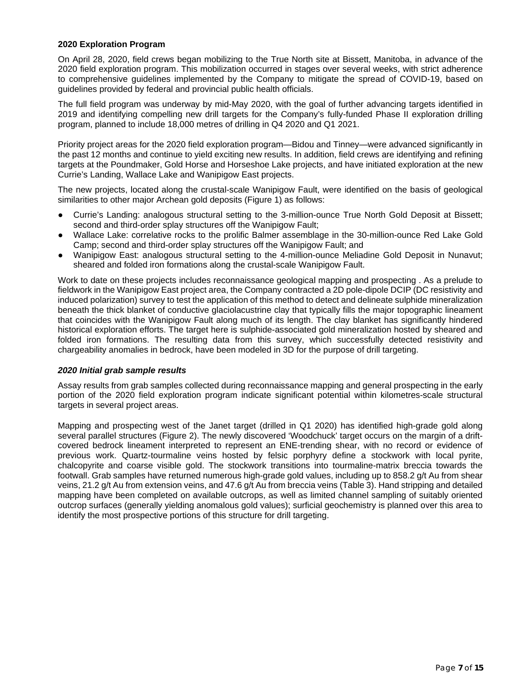## **2020 Exploration Program**

On April 28, 2020, field crews began mobilizing to the True North site at Bissett, Manitoba, in advance of the 2020 field exploration program. This mobilization occurred in stages over several weeks, with strict adherence to comprehensive guidelines implemented by the Company to mitigate the spread of COVID-19, based on guidelines provided by federal and provincial public health officials.

The full field program was underway by mid-May 2020, with the goal of further advancing targets identified in 2019 and identifying compelling new drill targets for the Company's fully-funded Phase II exploration drilling program, planned to include 18,000 metres of drilling in Q4 2020 and Q1 2021.

Priority project areas for the 2020 field exploration program—Bidou and Tinney—were advanced significantly in the past 12 months and continue to yield exciting new results. In addition, field crews are identifying and refining targets at the Poundmaker, Gold Horse and Horseshoe Lake projects, and have initiated exploration at the new Currie's Landing, Wallace Lake and Wanipigow East projects.

The new projects, located along the crustal-scale Wanipigow Fault, were identified on the basis of geological similarities to other major Archean gold deposits (Figure 1) as follows:

- Currie's Landing: analogous structural setting to the 3-million-ounce True North Gold Deposit at Bissett; second and third-order splay structures off the Wanipigow Fault;
- Wallace Lake: correlative rocks to the prolific Balmer assemblage in the 30-million-ounce Red Lake Gold Camp; second and third-order splay structures off the Wanipigow Fault; and
- Wanipigow East: analogous structural setting to the 4-million-ounce Meliadine Gold Deposit in Nunavut; sheared and folded iron formations along the crustal-scale Wanipigow Fault.

Work to date on these projects includes reconnaissance geological mapping and prospecting . As a prelude to fieldwork in the Wanipigow East project area, the Company contracted a 2D pole-dipole DCIP (DC resistivity and induced polarization) survey to test the application of this method to detect and delineate sulphide mineralization beneath the thick blanket of conductive glaciolacustrine clay that typically fills the major topographic lineament that coincides with the Wanipigow Fault along much of its length. The clay blanket has significantly hindered historical exploration efforts. The target here is sulphide-associated gold mineralization hosted by sheared and folded iron formations. The resulting data from this survey, which successfully detected resistivity and chargeability anomalies in bedrock, have been modeled in 3D for the purpose of drill targeting.

#### *2020 Initial grab sample results*

Assay results from grab samples collected during reconnaissance mapping and general prospecting in the early portion of the 2020 field exploration program indicate significant potential within kilometres-scale structural targets in several project areas.

Mapping and prospecting west of the Janet target (drilled in Q1 2020) has identified high-grade gold along several parallel structures (Figure 2). The newly discovered 'Woodchuck' target occurs on the margin of a driftcovered bedrock lineament interpreted to represent an ENE-trending shear, with no record or evidence of previous work. Quartz-tourmaline veins hosted by felsic porphyry define a stockwork with local pyrite, chalcopyrite and coarse visible gold. The stockwork transitions into tourmaline-matrix breccia towards the footwall. Grab samples have returned numerous high-grade gold values, including up to 858.2 g/t Au from shear veins, 21.2 g/t Au from extension veins, and 47.6 g/t Au from breccia veins (Table 3). Hand stripping and detailed mapping have been completed on available outcrops, as well as limited channel sampling of suitably oriented outcrop surfaces (generally yielding anomalous gold values); surficial geochemistry is planned over this area to identify the most prospective portions of this structure for drill targeting.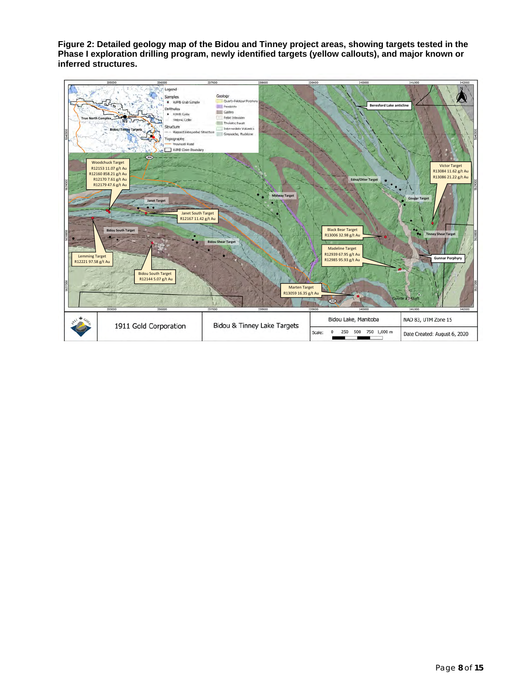**Figure 2: Detailed geology map of the Bidou and Tinney project areas, showing targets tested in the Phase I exploration drilling program, newly identified targets (yellow callouts), and major known or inferred structures.** 

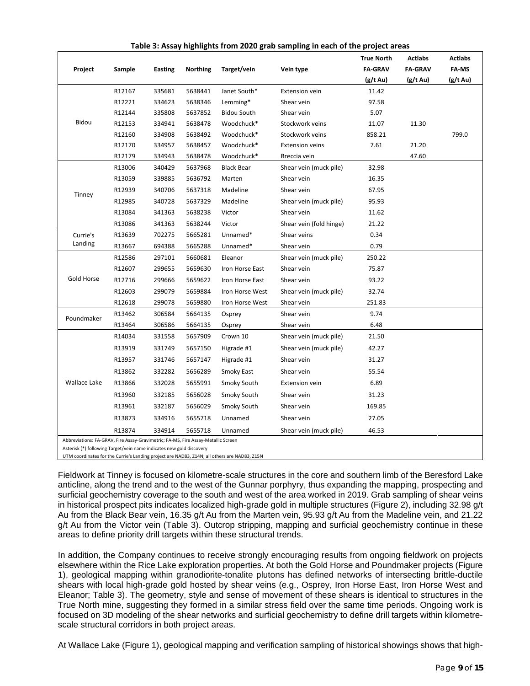|                                                                                   |        |                |                 |                    |                         | <b>True North</b> | <b>Actlabs</b> | <b>Actlabs</b> |
|-----------------------------------------------------------------------------------|--------|----------------|-----------------|--------------------|-------------------------|-------------------|----------------|----------------|
| Project                                                                           | Sample | <b>Easting</b> | <b>Northing</b> | Target/vein        | Vein type               | <b>FA-GRAV</b>    | <b>FA-GRAV</b> | FA MS          |
|                                                                                   |        |                |                 |                    |                         | (g/t Au)          | (g/t Au)       | (g/t Au)       |
|                                                                                   | R12167 | 335681         | 5638441         | Janet South*       | <b>Extension vein</b>   | 11.42             |                |                |
|                                                                                   | R12221 | 334623         | 5638346         | Lemming*           | Shear vein              | 97.58             |                |                |
|                                                                                   | R12144 | 335808         | 5637852         | <b>Bidou South</b> | Shear vein              | 5.07              |                |                |
| Bidou                                                                             | R12153 | 334941         | 5638478         | Woodchuck*         | Stockwork veins         | 11.07             | 11.30          |                |
|                                                                                   | R12160 | 334908         | 5638492         | Woodchuck*         | Stockwork veins         | 858.21            |                | 799.0          |
|                                                                                   | R12170 | 334957         | 5638457         | Woodchuck*         | <b>Extension veins</b>  | 7.61              | 21.20          |                |
|                                                                                   | R12179 | 334943         | 5638478         | Woodchuck*         | Breccia vein            |                   | 47.60          |                |
|                                                                                   | R13006 | 340429         | 5637968         | <b>Black Bear</b>  | Shear vein (muck pile)  | 32.98             |                |                |
|                                                                                   | R13059 | 339885         | 5636792         | Marten             | Shear vein              | 16.35             |                |                |
|                                                                                   | R12939 | 340706         | 5637318         | Madeline           | Shear vein              | 67.95             |                |                |
| Tinney                                                                            | R12985 | 340728         | 5637329         | Madeline           | Shear vein (muck pile)  | 95.93             |                |                |
|                                                                                   | R13084 | 341363         | 5638238         | Victor             | Shear vein              | 11.62             |                |                |
|                                                                                   | R13086 | 341363         | 5638244         | Victor             | Shear vein (fold hinge) | 21.22             |                |                |
| Currie's                                                                          | R13639 | 702275         | 5665281         | Unnamed*           | Shear veins             | 0.34              |                |                |
| Landing                                                                           | R13667 | 694388         | 5665288         | Unnamed*           | Shear vein              | 0.79              |                |                |
|                                                                                   | R12586 | 297101         | 5660681         | Eleanor            | Shear vein (muck pile)  | 250.22            |                |                |
|                                                                                   | R12607 | 299655         | 5659630         | Iron Horse East    | Shear vein              | 75.87             |                |                |
| Gold Horse                                                                        | R12716 | 299666         | 5659622         | Iron Horse East    | Shear vein              | 93.22             |                |                |
|                                                                                   | R12603 | 299079         | 5659884         | Iron Horse West    | Shear vein (muck pile)  | 32.74             |                |                |
|                                                                                   | R12618 | 299078         | 5659880         | Iron Horse West    | Shear vein              | 251.83            |                |                |
| Poundmaker                                                                        | R13462 | 306584         | 5664135         | Osprey             | Shear vein              | 9.74              |                |                |
|                                                                                   | R13464 | 306586         | 5664135         | Osprey             | Shear vein              | 6.48              |                |                |
|                                                                                   | R14034 | 331558         | 5657909         | Crown 10           | Shear vein (muck pile)  | 21.50             |                |                |
|                                                                                   | R13919 | 331749         | 5657150         | Higrade #1         | Shear vein (muck pile)  | 42.27             |                |                |
|                                                                                   | R13957 | 331746         | 5657147         | Higrade #1         | Shear vein              | 31.27             |                |                |
|                                                                                   | R13862 | 332282         | 5656289         | Smoky East         | Shear vein              | 55.54             |                |                |
| Wallace Lake                                                                      | R13866 | 332028         | 5655991         | Smoky South        | <b>Extension vein</b>   | 6.89              |                |                |
|                                                                                   | R13960 | 332185         | 5656028         | Smoky South        | Shear vein              | 31.23             |                |                |
|                                                                                   | R13961 | 332187         | 5656029         | Smoky South        | Shear vein              | 169.85            |                |                |
|                                                                                   | R13873 | 334916         | 5655718         | Unnamed            | Shear vein              | 27.05             |                |                |
|                                                                                   | R13874 | 334914         | 5655718         | Unnamed            | Shear vein (muck pile)  | 46.53             |                |                |
| Abbreviations: FA-GRAV, Fire Assay-Gravimetric; FA-MS, Fire Assay-Metallic Screen |        |                |                 |                    |                         |                   |                |                |
| Asterisk (*) following Target/vein name indicates new gold discovery              |        |                |                 |                    |                         |                   |                |                |

# **Table 3: Assay highlights from 2020 grab sampling in each of the project areas**

UTM coordinates for the Currie's Landing project are NAD83, Z14N; all others are NAD83, Z15N

Fieldwork at Tinney is focused on kilometre-scale structures in the core and southern limb of the Beresford Lake anticline, along the trend and to the west of the Gunnar porphyry, thus expanding the mapping, prospecting and surficial geochemistry coverage to the south and west of the area worked in 2019. Grab sampling of shear veins in historical prospect pits indicates localized high-grade gold in multiple structures (Figure 2), including 32.98 g/t Au from the Black Bear vein, 16.35 g/t Au from the Marten vein, 95.93 g/t Au from the Madeline vein, and 21.22 g/t Au from the Victor vein (Table 3). Outcrop stripping, mapping and surficial geochemistry continue in these areas to define priority drill targets within these structural trends.

In addition, the Company continues to receive strongly encouraging results from ongoing fieldwork on projects elsewhere within the Rice Lake exploration properties. At both the Gold Horse and Poundmaker projects (Figure 1), geological mapping within granodiorite-tonalite plutons has defined networks of intersecting brittle-ductile shears with local high-grade gold hosted by shear veins (e.g., Osprey, Iron Horse East, Iron Horse West and Eleanor; Table 3). The geometry, style and sense of movement of these shears is identical to structures in the True North mine, suggesting they formed in a similar stress field over the same time periods. Ongoing work is focused on 3D modeling of the shear networks and surficial geochemistry to define drill targets within kilometrescale structural corridors in both project areas.

At Wallace Lake (Figure 1), geological mapping and verification sampling of historical showings shows that high-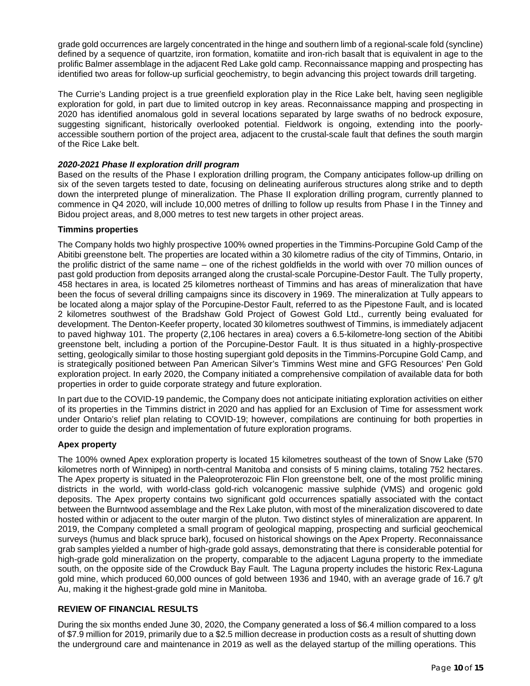grade gold occurrences are largely concentrated in the hinge and southern limb of a regional-scale fold (syncline) defined by a sequence of quartzite, iron formation, komatiite and iron-rich basalt that is equivalent in age to the prolific Balmer assemblage in the adjacent Red Lake gold camp. Reconnaissance mapping and prospecting has identified two areas for follow-up surficial geochemistry, to begin advancing this project towards drill targeting.

The Currie's Landing project is a true greenfield exploration play in the Rice Lake belt, having seen negligible exploration for gold, in part due to limited outcrop in key areas. Reconnaissance mapping and prospecting in 2020 has identified anomalous gold in several locations separated by large swaths of no bedrock exposure, suggesting significant, historically overlooked potential. Fieldwork is ongoing, extending into the poorlyaccessible southern portion of the project area, adjacent to the crustal-scale fault that defines the south margin of the Rice Lake belt.

# *2020-2021 Phase II exploration drill program*

Based on the results of the Phase I exploration drilling program, the Company anticipates follow-up drilling on six of the seven targets tested to date, focusing on delineating auriferous structures along strike and to depth down the interpreted plunge of mineralization. The Phase II exploration drilling program, currently planned to commence in Q4 2020, will include 10,000 metres of drilling to follow up results from Phase I in the Tinney and Bidou project areas, and 8,000 metres to test new targets in other project areas.

#### **Timmins properties**

The Company holds two highly prospective 100% owned properties in the Timmins-Porcupine Gold Camp of the Abitibi greenstone belt. The properties are located within a 30 kilometre radius of the city of Timmins, Ontario, in the prolific district of the same name – one of the richest goldfields in the world with over 70 million ounces of past gold production from deposits arranged along the crustal-scale Porcupine-Destor Fault. The Tully property, 458 hectares in area, is located 25 kilometres northeast of Timmins and has areas of mineralization that have been the focus of several drilling campaigns since its discovery in 1969. The mineralization at Tully appears to be located along a major splay of the Porcupine-Destor Fault, referred to as the Pipestone Fault, and is located 2 kilometres southwest of the Bradshaw Gold Project of Gowest Gold Ltd., currently being evaluated for development. The Denton-Keefer property, located 30 kilometres southwest of Timmins, is immediately adjacent to paved highway 101. The property (2,106 hectares in area) covers a 6.5-kilometre-long section of the Abitibi greenstone belt, including a portion of the Porcupine-Destor Fault. It is thus situated in a highly-prospective setting, geologically similar to those hosting supergiant gold deposits in the Timmins-Porcupine Gold Camp, and is strategically positioned between Pan American Silver's Timmins West mine and GFG Resources' Pen Gold exploration project. In early 2020, the Company initiated a comprehensive compilation of available data for both properties in order to guide corporate strategy and future exploration.

In part due to the COVID-19 pandemic, the Company does not anticipate initiating exploration activities on either of its properties in the Timmins district in 2020 and has applied for an Exclusion of Time for assessment work under Ontario's relief plan relating to COVID-19; however, compilations are continuing for both properties in order to guide the design and implementation of future exploration programs.

#### **Apex property**

The 100% owned Apex exploration property is located 15 kilometres southeast of the town of Snow Lake (570 kilometres north of Winnipeg) in north-central Manitoba and consists of 5 mining claims, totaling 752 hectares. The Apex property is situated in the Paleoproterozoic Flin Flon greenstone belt, one of the most prolific mining districts in the world, with world-class gold-rich volcanogenic massive sulphide (VMS) and orogenic gold deposits. The Apex property contains two significant gold occurrences spatially associated with the contact between the Burntwood assemblage and the Rex Lake pluton, with most of the mineralization discovered to date hosted within or adjacent to the outer margin of the pluton. Two distinct styles of mineralization are apparent. In 2019, the Company completed a small program of geological mapping, prospecting and surficial geochemical surveys (humus and black spruce bark), focused on historical showings on the Apex Property. Reconnaissance grab samples yielded a number of high-grade gold assays, demonstrating that there is considerable potential for high-grade gold mineralization on the property, comparable to the adjacent Laguna property to the immediate south, on the opposite side of the Crowduck Bay Fault. The Laguna property includes the historic Rex-Laguna gold mine, which produced 60,000 ounces of gold between 1936 and 1940, with an average grade of 16.7 g/t Au, making it the highest-grade gold mine in Manitoba.

# **REVIEW OF FINANCIAL RESULTS**

During the six months ended June 30, 2020, the Company generated a loss of \$6.4 million compared to a loss of \$7.9 million for 2019, primarily due to a \$2.5 million decrease in production costs as a result of shutting down the underground care and maintenance in 2019 as well as the delayed startup of the milling operations. This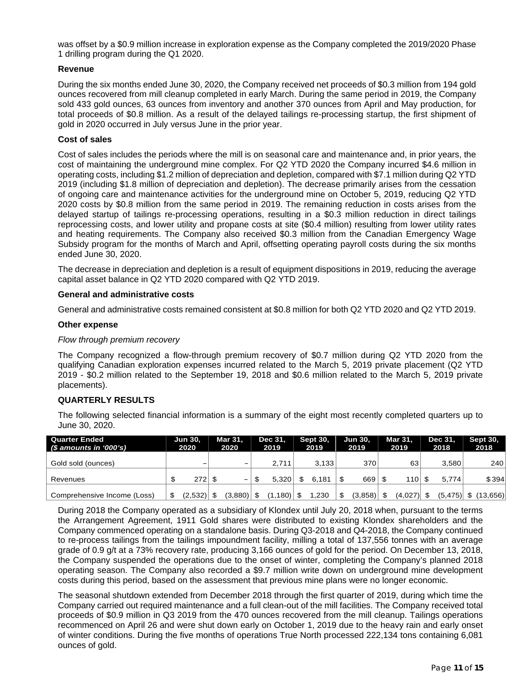was offset by a \$0.9 million increase in exploration expense as the Company completed the 2019/2020 Phase 1 drilling program during the Q1 2020.

## **Revenue**

During the six months ended June 30, 2020, the Company received net proceeds of \$0.3 million from 194 gold ounces recovered from mill cleanup completed in early March. During the same period in 2019, the Company sold 433 gold ounces, 63 ounces from inventory and another 370 ounces from April and May production, for total proceeds of \$0.8 million. As a result of the delayed tailings re-processing startup, the first shipment of gold in 2020 occurred in July versus June in the prior year.

#### **Cost of sales**

Cost of sales includes the periods where the mill is on seasonal care and maintenance and, in prior years, the cost of maintaining the underground mine complex. For Q2 YTD 2020 the Company incurred \$4.6 million in operating costs, including \$1.2 million of depreciation and depletion, compared with \$7.1 million during Q2 YTD 2019 (including \$1.8 million of depreciation and depletion). The decrease primarily arises from the cessation of ongoing care and maintenance activities for the underground mine on October 5, 2019, reducing Q2 YTD 2020 costs by \$0.8 million from the same period in 2019. The remaining reduction in costs arises from the delayed startup of tailings re-processing operations, resulting in a \$0.3 million reduction in direct tailings reprocessing costs, and lower utility and propane costs at site (\$0.4 million) resulting from lower utility rates and heating requirements. The Company also received \$0.3 million from the Canadian Emergency Wage Subsidy program for the months of March and April, offsetting operating payroll costs during the six months ended June 30, 2020.

The decrease in depreciation and depletion is a result of equipment dispositions in 2019, reducing the average capital asset balance in Q2 YTD 2020 compared with Q2 YTD 2019.

#### **General and administrative costs**

General and administrative costs remained consistent at \$0.8 million for both Q2 YTD 2020 and Q2 YTD 2019.

#### **Other expense**

#### *Flow through premium recovery*

The Company recognized a flow-through premium recovery of \$0.7 million during Q2 YTD 2020 from the qualifying Canadian exploration expenses incurred related to the March 5, 2019 private placement (Q2 YTD 2019 - \$0.2 million related to the September 19, 2018 and \$0.6 million related to the March 5, 2019 private placements).

#### **QUARTERLY RESULTS**

The following selected financial information is a summary of the eight most recently completed quarters up to June 30, 2020.

| Quarter Ended<br>(\$ amounts in '000's) | <b>Jun 30,</b><br>2020 |         |  |         |  |         |    |       | <b>Mar 31.</b><br>2020 |         | Dec 31.<br>2019 |              | <b>Sept 30.</b><br>2019 |              | <b>Jun 30.</b><br>2019 |  | <b>Mar 31.</b><br>2019 |  | Dec 31.<br>2018 |  | <b>Sept 30,</b><br>2018 |
|-----------------------------------------|------------------------|---------|--|---------|--|---------|----|-------|------------------------|---------|-----------------|--------------|-------------------------|--------------|------------------------|--|------------------------|--|-----------------|--|-------------------------|
| Gold sold (ounces)                      |                        |         |  | -       |  | 2.711   |    | 3.133 |                        | 370     |                 | 63           |                         | 3.580        | 240                    |  |                        |  |                 |  |                         |
| Revenues                                |                        | 272     |  | -       |  | 5.320   |    | 6.181 |                        | 669     |                 | 110          |                         | 5.774        | \$394                  |  |                        |  |                 |  |                         |
| Comprehensive Income (Loss)             | \$.                    | (2,532) |  | (3,880) |  | (1,180) | -S | 1,230 | \$.                    | (3,858) | -S              | $(4,027)$ \$ |                         | $(5,475)$ \$ | (13,656)               |  |                        |  |                 |  |                         |

During 2018 the Company operated as a subsidiary of Klondex until July 20, 2018 when, pursuant to the terms the Arrangement Agreement, 1911 Gold shares were distributed to existing Klondex shareholders and the Company commenced operating on a standalone basis. During Q3-2018 and Q4-2018, the Company continued to re-process tailings from the tailings impoundment facility, milling a total of 137,556 tonnes with an average grade of 0.9 g/t at a 73% recovery rate, producing 3,166 ounces of gold for the period. On December 13, 2018, the Company suspended the operations due to the onset of winter, completing the Company's planned 2018 operating season. The Company also recorded a \$9.7 million write down on underground mine development costs during this period, based on the assessment that previous mine plans were no longer economic.

The seasonal shutdown extended from December 2018 through the first quarter of 2019, during which time the Company carried out required maintenance and a full clean-out of the mill facilities. The Company received total proceeds of \$0.9 million in Q3 2019 from the 470 ounces recovered from the mill cleanup. Tailings operations recommenced on April 26 and were shut down early on October 1, 2019 due to the heavy rain and early onset of winter conditions. During the five months of operations True North processed 222,134 tons containing 6,081 ounces of gold.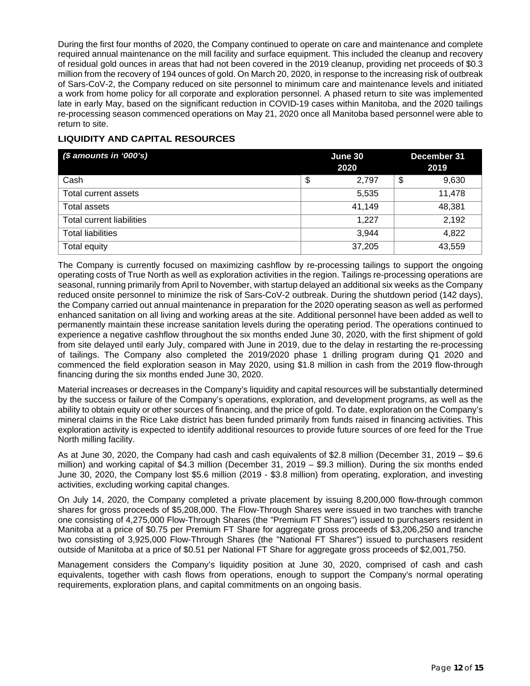During the first four months of 2020, the Company continued to operate on care and maintenance and complete required annual maintenance on the mill facility and surface equipment. This included the cleanup and recovery of residual gold ounces in areas that had not been covered in the 2019 cleanup, providing net proceeds of \$0.3 million from the recovery of 194 ounces of gold. On March 20, 2020, in response to the increasing risk of outbreak of Sars-CoV-2, the Company reduced on site personnel to minimum care and maintenance levels and initiated a work from home policy for all corporate and exploration personnel. A phased return to site was implemented late in early May, based on the significant reduction in COVID-19 cases within Manitoba, and the 2020 tailings re-processing season commenced operations on May 21, 2020 once all Manitoba based personnel were able to return to site.

# **LIQUIDITY AND CAPITAL RESOURCES**

| $$$ amounts in '000's)           | June 30<br>2020 | December 31<br>2019 |
|----------------------------------|-----------------|---------------------|
| Cash                             | \$<br>2.797     | \$<br>9,630         |
| Total current assets             | 5,535           | 11,478              |
| Total assets                     | 41,149          | 48,381              |
| <b>Total current liabilities</b> | 1,227           | 2,192               |
| <b>Total liabilities</b>         | 3,944           | 4,822               |
| Total equity                     | 37,205          | 43,559              |

The Company is currently focused on maximizing cashflow by re-processing tailings to support the ongoing operating costs of True North as well as exploration activities in the region. Tailings re-processing operations are seasonal, running primarily from April to November, with startup delayed an additional six weeks as the Company reduced onsite personnel to minimize the risk of Sars-CoV-2 outbreak. During the shutdown period (142 days), the Company carried out annual maintenance in preparation for the 2020 operating season as well as performed enhanced sanitation on all living and working areas at the site. Additional personnel have been added as well to permanently maintain these increase sanitation levels during the operating period. The operations continued to experience a negative cashflow throughout the six months ended June 30, 2020, with the first shipment of gold from site delayed until early July, compared with June in 2019, due to the delay in restarting the re-processing of tailings. The Company also completed the 2019/2020 phase 1 drilling program during Q1 2020 and commenced the field exploration season in May 2020, using \$1.8 million in cash from the 2019 flow-through financing during the six months ended June 30, 2020.

Material increases or decreases in the Company's liquidity and capital resources will be substantially determined by the success or failure of the Company's operations, exploration, and development programs, as well as the ability to obtain equity or other sources of financing, and the price of gold. To date, exploration on the Company's mineral claims in the Rice Lake district has been funded primarily from funds raised in financing activities. This exploration activity is expected to identify additional resources to provide future sources of ore feed for the True North milling facility.

As at June 30, 2020, the Company had cash and cash equivalents of \$2.8 million (December 31, 2019 – \$9.6 million) and working capital of \$4.3 million (December 31, 2019 – \$9.3 million). During the six months ended June 30, 2020, the Company lost \$5.6 million (2019 - \$3.8 million) from operating, exploration, and investing activities, excluding working capital changes.

On July 14, 2020, the Company completed a private placement by issuing 8,200,000 flow-through common shares for gross proceeds of \$5,208,000. The Flow-Through Shares were issued in two tranches with tranche one consisting of 4,275,000 Flow-Through Shares (the "Premium FT Shares") issued to purchasers resident in Manitoba at a price of \$0.75 per Premium FT Share for aggregate gross proceeds of \$3,206,250 and tranche two consisting of 3,925,000 Flow-Through Shares (the "National FT Shares") issued to purchasers resident outside of Manitoba at a price of \$0.51 per National FT Share for aggregate gross proceeds of \$2,001,750.

Management considers the Company's liquidity position at June 30, 2020, comprised of cash and cash equivalents, together with cash flows from operations, enough to support the Company's normal operating requirements, exploration plans, and capital commitments on an ongoing basis.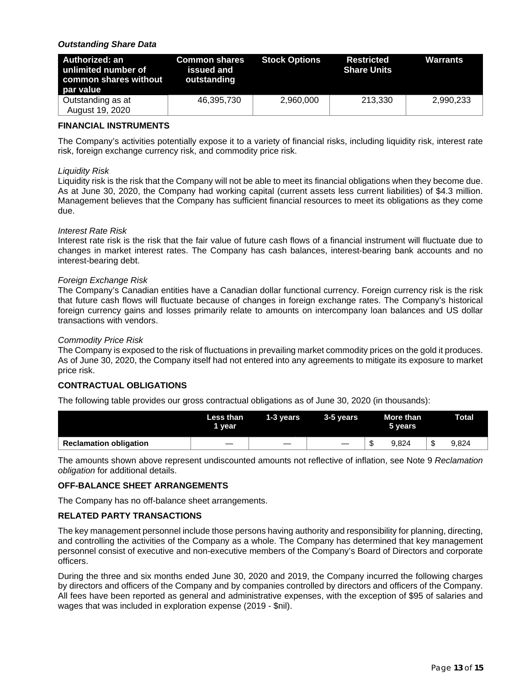# *Outstanding Share Data*

| Authorized: an<br>unlimited number of<br>common shares without<br>par value | <b>Common shares</b><br>issued and<br>outstanding | <b>Stock Options</b> | <b>Restricted</b><br><b>Share Units</b> | <b>Warrants</b> |
|-----------------------------------------------------------------------------|---------------------------------------------------|----------------------|-----------------------------------------|-----------------|
| Outstanding as at<br>August 19, 2020                                        | 46,395,730                                        | 2,960,000            | 213.330                                 | 2,990,233       |

# **FINANCIAL INSTRUMENTS**

The Company's activities potentially expose it to a variety of financial risks, including liquidity risk, interest rate risk, foreign exchange currency risk, and commodity price risk.

#### *Liquidity Risk*

Liquidity risk is the risk that the Company will not be able to meet its financial obligations when they become due. As at June 30, 2020, the Company had working capital (current assets less current liabilities) of \$4.3 million. Management believes that the Company has sufficient financial resources to meet its obligations as they come due.

#### *Interest Rate Risk*

Interest rate risk is the risk that the fair value of future cash flows of a financial instrument will fluctuate due to changes in market interest rates. The Company has cash balances, interest-bearing bank accounts and no interest-bearing debt.

## *Foreign Exchange Risk*

The Company's Canadian entities have a Canadian dollar functional currency. Foreign currency risk is the risk that future cash flows will fluctuate because of changes in foreign exchange rates. The Company's historical foreign currency gains and losses primarily relate to amounts on intercompany loan balances and US dollar transactions with vendors.

#### *Commodity Price Risk*

The Company is exposed to the risk of fluctuations in prevailing market commodity prices on the gold it produces. As of June 30, 2020, the Company itself had not entered into any agreements to mitigate its exposure to market price risk.

## **CONTRACTUAL OBLIGATIONS**

The following table provides our gross contractual obligations as of June 30, 2020 (in thousands):

|                               | Less than<br>1 year | 1-3 years                | 3-5 years |   | More than <b>M</b><br>5 years |    | <b>Total</b> |
|-------------------------------|---------------------|--------------------------|-----------|---|-------------------------------|----|--------------|
| <b>Reclamation obligation</b> |                     | $\overline{\phantom{a}}$ | —         | w | 9.824                         | J. | 9.824        |

The amounts shown above represent undiscounted amounts not reflective of inflation, see Note 9 *Reclamation obligation* for additional details.

#### **OFF-BALANCE SHEET ARRANGEMENTS**

The Company has no off-balance sheet arrangements.

## **RELATED PARTY TRANSACTIONS**

The key management personnel include those persons having authority and responsibility for planning, directing, and controlling the activities of the Company as a whole. The Company has determined that key management personnel consist of executive and non-executive members of the Company's Board of Directors and corporate officers.

During the three and six months ended June 30, 2020 and 2019, the Company incurred the following charges by directors and officers of the Company and by companies controlled by directors and officers of the Company. All fees have been reported as general and administrative expenses, with the exception of \$95 of salaries and wages that was included in exploration expense (2019 - \$nil).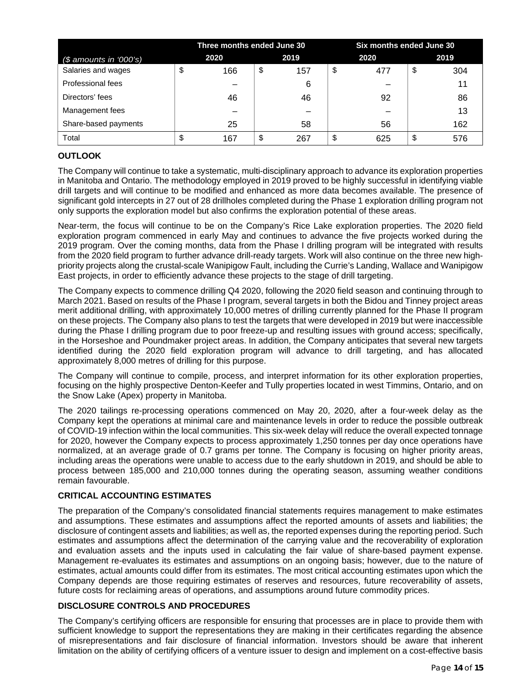|                         | Three months ended June 30 |      |     | Six months ended June 30 |      |    |      |  |  |  |
|-------------------------|----------------------------|------|-----|--------------------------|------|----|------|--|--|--|
| $($$ amounts in '000's) | 2020                       | 2019 |     |                          | 2020 |    | 2019 |  |  |  |
| Salaries and wages      | \$<br>166                  | \$   | 157 | \$                       | 477  | \$ | 304  |  |  |  |
| Professional fees       |                            |      | 6   |                          |      |    |      |  |  |  |
| Directors' fees         | 46                         |      | 46  |                          | 92   |    | 86   |  |  |  |
| Management fees         |                            |      |     |                          |      |    | 13   |  |  |  |
| Share-based payments    | 25                         |      | 58  |                          | 56   |    | 162  |  |  |  |
| Total                   | \$<br>167                  | \$   | 267 | \$                       | 625  | \$ | 576  |  |  |  |

# **OUTLOOK**

The Company will continue to take a systematic, multi-disciplinary approach to advance its exploration properties in Manitoba and Ontario. The methodology employed in 2019 proved to be highly successful in identifying viable drill targets and will continue to be modified and enhanced as more data becomes available. The presence of significant gold intercepts in 27 out of 28 drillholes completed during the Phase 1 exploration drilling program not only supports the exploration model but also confirms the exploration potential of these areas.

Near-term, the focus will continue to be on the Company's Rice Lake exploration properties. The 2020 field exploration program commenced in early May and continues to advance the five projects worked during the 2019 program. Over the coming months, data from the Phase I drilling program will be integrated with results from the 2020 field program to further advance drill-ready targets. Work will also continue on the three new highpriority projects along the crustal-scale Wanipigow Fault, including the Currie's Landing, Wallace and Wanipigow East projects, in order to efficiently advance these projects to the stage of drill targeting.

The Company expects to commence drilling Q4 2020, following the 2020 field season and continuing through to March 2021. Based on results of the Phase I program, several targets in both the Bidou and Tinney project areas merit additional drilling, with approximately 10,000 metres of drilling currently planned for the Phase II program on these projects. The Company also plans to test the targets that were developed in 2019 but were inaccessible during the Phase I drilling program due to poor freeze-up and resulting issues with ground access; specifically, in the Horseshoe and Poundmaker project areas. In addition, the Company anticipates that several new targets identified during the 2020 field exploration program will advance to drill targeting, and has allocated approximately 8,000 metres of drilling for this purpose.

The Company will continue to compile, process, and interpret information for its other exploration properties, focusing on the highly prospective Denton-Keefer and Tully properties located in west Timmins, Ontario, and on the Snow Lake (Apex) property in Manitoba.

The 2020 tailings re-processing operations commenced on May 20, 2020, after a four-week delay as the Company kept the operations at minimal care and maintenance levels in order to reduce the possible outbreak of COVID-19 infection within the local communities. This six-week delay will reduce the overall expected tonnage for 2020, however the Company expects to process approximately 1,250 tonnes per day once operations have normalized, at an average grade of 0.7 grams per tonne. The Company is focusing on higher priority areas, including areas the operations were unable to access due to the early shutdown in 2019, and should be able to process between 185,000 and 210,000 tonnes during the operating season, assuming weather conditions remain favourable.

# **CRITICAL ACCOUNTING ESTIMATES**

The preparation of the Company's consolidated financial statements requires management to make estimates and assumptions. These estimates and assumptions affect the reported amounts of assets and liabilities; the disclosure of contingent assets and liabilities; as well as, the reported expenses during the reporting period. Such estimates and assumptions affect the determination of the carrying value and the recoverability of exploration and evaluation assets and the inputs used in calculating the fair value of share-based payment expense. Management re-evaluates its estimates and assumptions on an ongoing basis; however, due to the nature of estimates, actual amounts could differ from its estimates. The most critical accounting estimates upon which the Company depends are those requiring estimates of reserves and resources, future recoverability of assets, future costs for reclaiming areas of operations, and assumptions around future commodity prices.

# **DISCLOSURE CONTROLS AND PROCEDURES**

The Company's certifying officers are responsible for ensuring that processes are in place to provide them with sufficient knowledge to support the representations they are making in their certificates regarding the absence of misrepresentations and fair disclosure of financial information. Investors should be aware that inherent limitation on the ability of certifying officers of a venture issuer to design and implement on a cost-effective basis